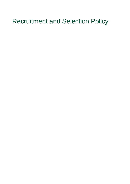# Recruitment and Selection Policy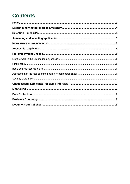# **Contents**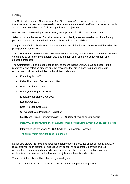# <span id="page-2-0"></span>**Policy**

The Scottish Information Commissioner (the Commissioner) recognises that our staff are fundamental to our success. We need to be able to attract and retain staff with the necessary skills and attributes to enable us to fulfil our organisational objectives.

Recruitment is the overall process whereby we appoint staff to fill vacant or new posts.

Selection covers the series of activities used to best identify the most suitable candidate for any particular vacant post on the basis of their job-related skills and abilities.

The purpose of this policy is to provide a sound framework for the recruitment of staff based on the principles outlined below.

This policy aims to make sure that the Commissioner attracts, selects and retains the most suitable candidates by using the most appropriate, efficient, fair, open and effective recruitment and selection processes.

The Commissioner has a legal responsibility to ensure that no unlawful practices occur in the recruitment and selection process and the processes that are in place help us to meet our obligations in relation to the following legislation and codes:

- Equal Pay Act 1970
- Rehabilitation of Offenders Act (1976)
- Human Rights Act 1998
- Employment Rights Act 1996
- Employment Relations Act 1996
- Equality Act 2010
- Data Protection Act 2018
- UK General Data Protection Regulation
- Equality and Human Rights Commission (EHRC) Code of Practice on Employment

<https://www.equalityhumanrights.com/en/publication-download/employment-statutory-code-practice>

• Information Commissioner's (ICO) Code on Employment Practices.

[The employment practices code \(ico.org.uk\)](https://ico.org.uk/media/for-organisations/documents/1064/the_employment_practices_code.pdf)

No job applicant will receive less favourable treatment on the grounds of sex or marital status, on racial grounds, or on grounds of age, disability, gender re-assignment, marriage and civil partnership, pregnancy and maternity, race, religion or belief, sex and sexual orientation Job applicants will be selected on the basis of their job-related merits and abilities**.**

The aims of the policy will be achieved by ensuring that:

• vacancies receive as wide a pool of potential applicants as possible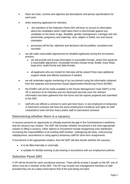- there are clear, concise and objective job descriptions and person specifications for each post
- when selecting applicants for interview,
	- the members of the Selection Panel (SP) will have no access to information about the candidates which might allow them to discriminate against any candidate on the basis of age, disability, gender reassignment, marriage and civil partnership, pregnancy and maternity, race, religion or belief, sex and sexual orientation
	- processes will be fair, objective and decisions will be justified, consistent and recorded
- we will make reasonable adjustments for disabled applicants during the recruitment process
	- we will provide and accept information in accessible formats, where this would be a reasonable adjustment. Accessible formats include email, Braille, Easy Read, large print, audio format and data formats.
	- all applicants who are invited for interview will be asked if they have additional support needs and offered assistance if needed.
- we will undertake regular monitoring of our recruitment using the information obtained from the separate and anonymous Equal Opportunities Monitoring Forms (EOMF)
- the EOMFs will not be made available to the Senior Management Team (SMT) or the SP in advance of an interview and are destroyed securely once the relevant information has been gathered from the forms and the reports prepared and submitted to the SMT.
- staff who are offered a contract to work part time hours, or are employed on temporary or fixed-term contracts will have the same employment conditions and rights as staff contracted to work full-time hours and/or staff on permanent contracts

# <span id="page-3-0"></span>**Determining whether there is a vacancy**

A vacancy presents an opportunity to critically examine the gap in the Commissioner's workforce that the vacancy has created. The SMT will consider whether recruitment is the most appropriate solution to filling a vacancy. Other options to recruitment include reorganising work distribution, increasing the responsibilities of an existing staff member, redesigning job tasks, restructuring, redeployment, secondment or using agency temporary staff for short-term assignments.

If recruitment is the appropriate solution, then the SMT will also decide whether the vacancy:

- is to be filled internally or externally
- is suitable for flexible working or job-sharing in accordance with our employment policies

# <span id="page-3-1"></span>**Selection Panel (SP)**

A SP will be formed for each recruitment exercise. There will be at least 2 people on the SP, one of which must be a member of the SMT. The SP may include non-management members of staff provided they are at a salary band above that of the post being recruited.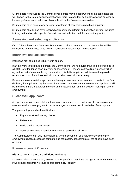SP members from outside the Commissioner's office may be used where all the candidates are well known to the Commissioner's staff and/or there is a need for particular expertise or technical knowledge/experience that is not obtainable within the Commissioner's office.

SP members must declare any personal knowledge of or relationship with an applicant.

SP members should also have received appropriate recruitment and selection training, including training on the diversity aspects of recruitment and selection and the relevant legislation.

# <span id="page-4-0"></span>**Assessing and selecting applicants**

Our C5 Recruitment and Selection Procedures provide more detail on the matters that will be considered and the steps to be taken in recruitment, assessment and selection.

#### <span id="page-4-1"></span>**Interviews and assessments**

Interviews may take place virtually or in person.

If an interview takes place in person, the Commissioner will reimburse travelling expenses up to £100.00 for attendance at an interview or assessment. Reasonable travelling expenses will be agreed as part of reasonable adjustments for a disability. Applicants will be asked to provide receipts as proof of purchase and will not be reimbursed without a receipt.

If there are several suitable applicants following an interview or assessment, to assist in the final decision, the applicants may be invited for a second interview and/or assessment. Applicants will be informed if there is a further interview and/or assessment and any delay in making an offer of employment.

#### <span id="page-4-2"></span>**Successful applicants**

An applicant who is successful at interview and who receives a conditional offer of employment must undertake pre-employment checks to progress to an unconditional offer of employment.

The pre-employment checks will include:

- Right to work and identity checks
- References
- Basic criminal records check
- Security clearance security clearance is required for all posts

The Commissioner can only make a formal unconditional offer of employment once the preemployment checks process is complete and satisfactory assessments of the checks have been obtained.

# <span id="page-4-3"></span>**Pre-employment Checks**

#### <span id="page-4-4"></span>**Right to work in the UK and identity checks**

When we offer someone a job, we must ask for proof that they have the right to work in the UK and if we do not check this we could be subject to a civil penalty.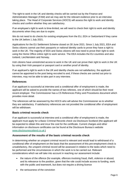The right to work in the UK and identity checks will be carried out by the Finance and Administration Manager (FAM) and we may ask for the relevant evidence prior to an interview taking place. The Head of Corporate Services (HOCS) will assess the right to work and identity checks and confirm whether they are satisfactory.

If an employee's right to work is time-limited, we will need to check their right to work and identity documents when they are due to expire.

We do not need to do checks for existing employees from the EU, EEA or Switzerland if they came to the UK before 1 July 2021.

Applications for the EU Settlement Scheme closed on 30 June 2021. Since 1 July 2021, EEA and Swiss citizens cannot use their passports or national identity cards to prove they have a right to work in the UK. The majority of EEA and Swiss citizens will now need to prove their right to work using the [Home Office online right to work service.](https://www.gov.uk/prove-right-to-work) The EEA includes the EU countries and also Iceland, Liechtenstein and Norway.

Irish citizens have unrestricted access to work in the UK and can prove their right to work in the UK by using their Irish passport or passport card or another proof of identity.

If an applicant's right to work in the UK and identity checks are not satisfactory, the applicant cannot be appointed to the post being recruited to and, if these checks are carried out prior to interview, may not be able to take part in any interview.

#### <span id="page-5-0"></span>**References**

If an applicant is successful at interview and a conditional offer of employment is made, the applicant will be asked to provide the names of two referees, one of which should be their most recent employer. The Commissioner has a C5 References Policy and Procedures document which provides more detail.

The references will be assessed by the HOCS who will advise the Commissioner as to whether they are satisfactory. If satisfactory references are not provided the conditional offer of employment will be withdrawn.

#### <span id="page-5-1"></span>**Basic criminal records check**

If an applicant is successful at interview and a conditional offer of employment is made, the applicant must apply for a Basic Criminal Records check via Disclosure Scotland (the applicant will be expected to obtain this and incur the cost for the certificate. Current charges and other information on disclosure certificates can be found at the Disclosure Bureau's website [www.disclosurescotland.co.uk](https://remote.osic.scot/owa/redir.aspx?C=QFDFtBd7cfCLjMGqZKPfvP10DxPWcop7kk_3TYo85emDTCmYYCHXCA..&URL=http%3a%2f%2fwww.disclosurescotland.co.uk%2f).)

#### <span id="page-5-2"></span>**Assessment of the results of the basic criminal records check**

In determining whether an unspent criminal record is relevant and would lead to withdrawal of a conditional offer of employment on the basis that the assessment of this pre-employment check is unsatisfactory, the unspent criminal record will be assessed in relation to the tasks which need to be performed and the circumstances in which the work is to be carried out. Relevant considerations which we will take into account in reaching our assessment include:

- the nature of the offence (for example, offences involving fraud, theft, violence or abuse) and its relevance to the position, given that the role could include access to funding, work with the public and teamwork, but does not require a driving licence
- the seriousness of the conviction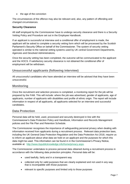• the age of the conviction

The circumstances of the offence may also be relevant and, also, any pattern of offending and changed circumstances.

#### <span id="page-6-0"></span>**Security Clearance**

All staff employed by the Commissioner have to undergo security clearance and there is a Security Vetting Policy and Procedure set out in the Employee Handbook.

If an applicant is successful at interview and a conditional offer of employment is made, the applicant will be asked to complete a security vetting form which will be processed by the Scottish Parliament's Security Office on behalf of the Commissioner. The system of security vetting operated is similar to the national vetting systems used by UK central Government Departments, Agencies and Devolved Administrations.

Once the security vetting has been completed, the outcome will be communicated to the applicant and the HOCS. If satisfactory security clearance is not obtained the conditional offer of employment will be withdrawn.

# <span id="page-6-1"></span>**Unsuccessful applicants (following interview)**

All unsuccessful candidates who have attended an interview will be advised that they have been unsuccessful.

### <span id="page-6-2"></span>**Monitoring**

Once the recruitment and selection process is completed, a monitoring report for the job will be prepared by the FAM. This will include: where the job was advertised, gender of applicants, age of applicants, number of applicants with disabilities and profile of ethnic origin. The report will include information in respect of all applicants, all applicants selected for an interview and successful candidates.

# <span id="page-6-3"></span>**Data Protection**

Personal data will be held, used, processed and securely destroyed in line with the Commissioner's Data Protection Policy and Handbook, Information and Records Management policies and the File Plan and Retention Schedule.

The Commissioner recognises the importance of safeguarding personal privacy when dealing with information received from applicants during a recruitment process. Relevant data protection laws, including the UK General Data Protection Regulation and the Data Protection Act 2018, require us to inform an applicant about what data we hold on an applicant and the purposes for which this data might be used. This information can be found in in the Commissioner's Privacy Notice, available at: [http://www.itspublicknowledge.info/home/privacy.aspx.](http://www.itspublicknowledge.info/home/privacy.aspx)

The Commissioner undertakes to process personal data obtained during a recruitment process in accordance with the following data protection principles. Personal data will be:

- used lawfully, fairly and in a transparent way
- collected only for valid purposes that are clearly explained and not used in any way that is incompatible with those purposes
- relevant to specific purposes and limited only to those purposes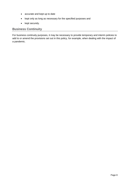- accurate and kept up to date
- kept only as long as necessary for the specified purposes and
- kept securely.

# <span id="page-7-0"></span>**Business Continuity**

For business continuity purposes, it may be necessary to provide temporary and interim policies to add to or amend the provisions set out in this policy, for example, when dealing with the impact of a pandemic.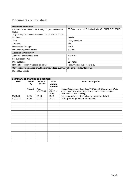# <span id="page-8-0"></span>**Document control sheet**

| <b>Document Information</b>                                                          |                                                       |  |  |  |  |
|--------------------------------------------------------------------------------------|-------------------------------------------------------|--|--|--|--|
| Full name of current version: Class, Title, Version No and<br>Status.                | C5 Recruitment and Selection Policy v01 CURRENT ISSUE |  |  |  |  |
| E.g. C5 Key Documents Handbook v01 CURRENT ISSUE                                     |                                                       |  |  |  |  |
| VC File Id                                                                           | 166665                                                |  |  |  |  |
| <b>Type</b>                                                                          | Policy/procedure                                      |  |  |  |  |
| Approver                                                                             | <b>SMT</b>                                            |  |  |  |  |
| Responsible Manager                                                                  | <b>HOCS</b>                                           |  |  |  |  |
| Date of next planned review                                                          | 03/2025                                               |  |  |  |  |
| <b>Approval &amp; Publication</b>                                                    |                                                       |  |  |  |  |
| Approval Date (major version)                                                        | 22/02/2022                                            |  |  |  |  |
| For publication (Y/N)                                                                | Υ                                                     |  |  |  |  |
| Date published                                                                       | 11/03/2022                                            |  |  |  |  |
| Name of document in website file library                                             | RecruitmentandSelectionPolicy                         |  |  |  |  |
| Corrections / Unplanned or Ad hoc reviews (see Summary of changes below for details) |                                                       |  |  |  |  |
| Date of last update                                                                  |                                                       |  |  |  |  |

| <b>Summary of changes to document</b> |                     |                    |                       |                                                               |  |  |
|---------------------------------------|---------------------|--------------------|-----------------------|---------------------------------------------------------------|--|--|
| <b>Date</b>                           | <b>Action</b><br>by | Version<br>updated | <b>New</b><br>version | <b>Brief description</b>                                      |  |  |
|                                       |                     |                    | number                |                                                               |  |  |
|                                       | (initials)          | (e.g.              | (e.g.                 | (e.g. updated paras 1-8, updated HOPI to HOCS, reviewed whole |  |  |
|                                       |                     | $v01.25-36$        | v01.27, or            | section on PI test, whole document updated, corrected typos,  |  |  |
|                                       |                     |                    | 02.03)                | reformatted to new branding)                                  |  |  |
| 11/03/22                              | <b>BOW</b>          | 01.00              | 01.01                 | New document created following approval of draft              |  |  |
| 11/03/22                              | <b>BOW</b>          | 01.01              | 01.02                 | DCS updated, published on website                             |  |  |
|                                       |                     |                    |                       |                                                               |  |  |
|                                       |                     |                    |                       |                                                               |  |  |
|                                       |                     |                    |                       |                                                               |  |  |
|                                       |                     |                    |                       |                                                               |  |  |
|                                       |                     |                    |                       |                                                               |  |  |
|                                       |                     |                    |                       |                                                               |  |  |
|                                       |                     |                    |                       |                                                               |  |  |
|                                       |                     |                    |                       |                                                               |  |  |
|                                       |                     |                    |                       |                                                               |  |  |
|                                       |                     |                    |                       |                                                               |  |  |
|                                       |                     |                    |                       |                                                               |  |  |
|                                       |                     |                    |                       |                                                               |  |  |
|                                       |                     |                    |                       |                                                               |  |  |
|                                       |                     |                    |                       |                                                               |  |  |
|                                       |                     |                    |                       |                                                               |  |  |
|                                       |                     |                    |                       |                                                               |  |  |